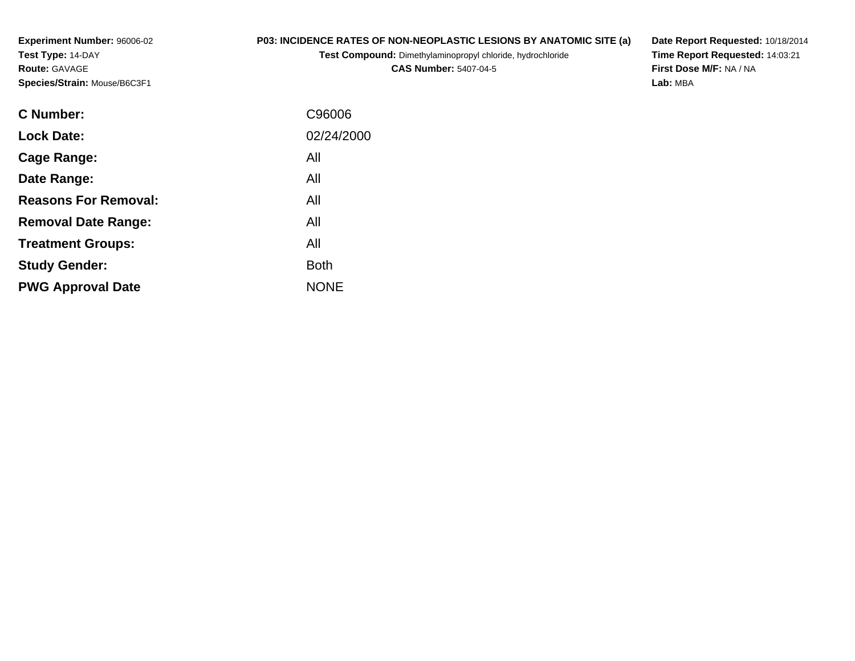**Experiment Number:** 96006-02**Test Type:** 14-DAY**Route:** GAVAGE**Species/Strain:** Mouse/B6C3F1

## **P03: INCIDENCE RATES OF NON-NEOPLASTIC LESIONS BY ANATOMIC SITE (a)**

**Test Compound:** Dimethylaminopropyl chloride, hydrochloride

**CAS Number:** 5407-04-5

**Date Report Requested:** 10/18/2014 **Time Report Requested:** 14:03:21**First Dose M/F:** NA / NA**Lab:** MBA

| <b>C</b> Number:            | C96006      |
|-----------------------------|-------------|
| <b>Lock Date:</b>           | 02/24/2000  |
| Cage Range:                 | All         |
| Date Range:                 | All         |
| <b>Reasons For Removal:</b> | All         |
| <b>Removal Date Range:</b>  | All         |
| <b>Treatment Groups:</b>    | All         |
| <b>Study Gender:</b>        | <b>Both</b> |
| <b>PWG Approval Date</b>    | <b>NONE</b> |
|                             |             |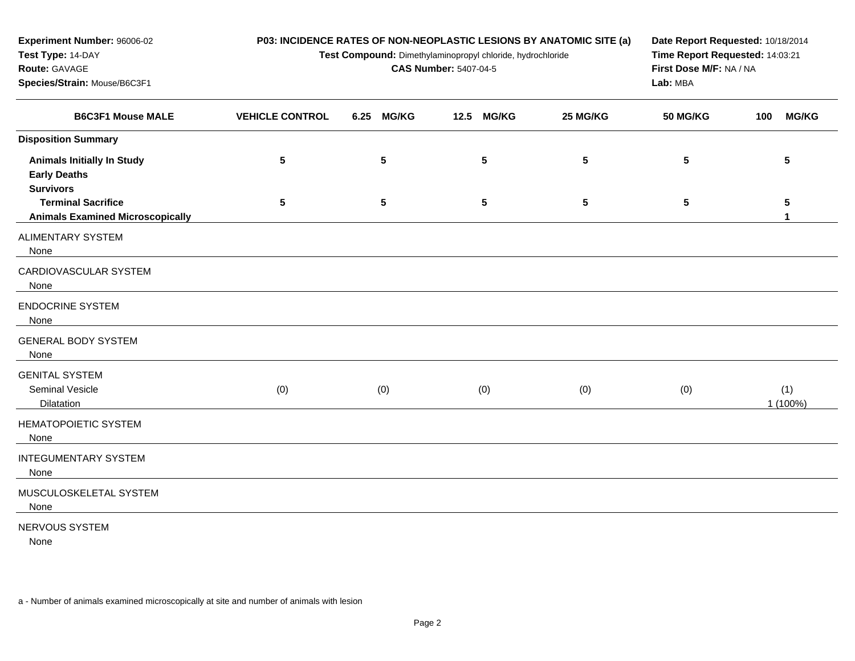| Experiment Number: 96006-02                                                  | P03: INCIDENCE RATES OF NON-NEOPLASTIC LESIONS BY ANATOMIC SITE (a) | Date Report Requested: 10/18/2014<br>Time Report Requested: 14:03:21<br>First Dose M/F: NA / NA<br>Lab: MBA |            |          |                 |                     |
|------------------------------------------------------------------------------|---------------------------------------------------------------------|-------------------------------------------------------------------------------------------------------------|------------|----------|-----------------|---------------------|
| Test Type: 14-DAY<br>Route: GAVAGE<br>Species/Strain: Mouse/B6C3F1           | Test Compound: Dimethylaminopropyl chloride, hydrochloride          |                                                                                                             |            |          |                 |                     |
| <b>B6C3F1 Mouse MALE</b>                                                     | <b>VEHICLE CONTROL</b>                                              | <b>MG/KG</b><br>6.25                                                                                        | 12.5 MG/KG | 25 MG/KG | <b>50 MG/KG</b> | <b>MG/KG</b><br>100 |
| <b>Disposition Summary</b>                                                   |                                                                     |                                                                                                             |            |          |                 |                     |
| <b>Animals Initially In Study</b><br><b>Early Deaths</b><br><b>Survivors</b> | 5                                                                   | 5                                                                                                           | 5          | 5        | 5               | 5                   |
| <b>Terminal Sacrifice</b><br><b>Animals Examined Microscopically</b>         | 5                                                                   | $\sqrt{5}$                                                                                                  | 5          | 5        | 5               | 5<br>1              |
| <b>ALIMENTARY SYSTEM</b><br>None                                             |                                                                     |                                                                                                             |            |          |                 |                     |
| CARDIOVASCULAR SYSTEM<br>None                                                |                                                                     |                                                                                                             |            |          |                 |                     |
| <b>ENDOCRINE SYSTEM</b><br>None                                              |                                                                     |                                                                                                             |            |          |                 |                     |
| <b>GENERAL BODY SYSTEM</b><br>None                                           |                                                                     |                                                                                                             |            |          |                 |                     |
| <b>GENITAL SYSTEM</b><br>Seminal Vesicle<br>Dilatation                       | (0)                                                                 | (0)                                                                                                         | (0)        | (0)      | (0)             | (1)<br>1 (100%)     |
| <b>HEMATOPOIETIC SYSTEM</b><br>None                                          |                                                                     |                                                                                                             |            |          |                 |                     |
| <b>INTEGUMENTARY SYSTEM</b><br>None                                          |                                                                     |                                                                                                             |            |          |                 |                     |
| MUSCULOSKELETAL SYSTEM<br>None                                               |                                                                     |                                                                                                             |            |          |                 |                     |
| NERVOUS SYSTEM<br>None                                                       |                                                                     |                                                                                                             |            |          |                 |                     |

a - Number of animals examined microscopically at site and number of animals with lesion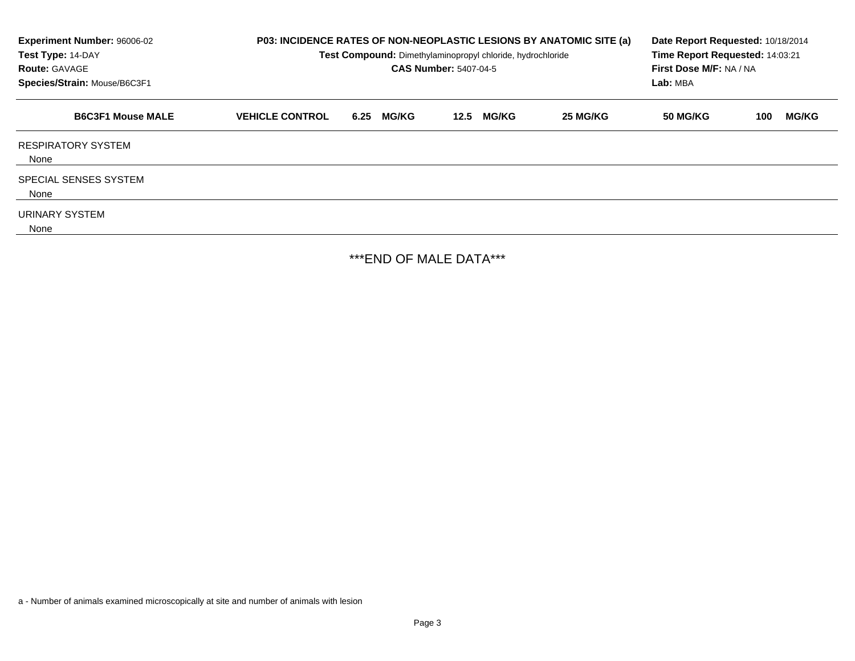| Experiment Number: 96006-02<br>Test Type: 14-DAY<br><b>Route: GAVAGE</b><br>Species/Strain: Mouse/B6C3F1 | P03: INCIDENCE RATES OF NON-NEOPLASTIC LESIONS BY ANATOMIC SITE (a)<br>Test Compound: Dimethylaminopropyl chloride, hydrochloride<br><b>CAS Number: 5407-04-5</b> |                      |                      |          | Date Report Requested: 10/18/2014<br>Time Report Requested: 14:03:21<br>First Dose M/F: NA / NA<br>Lab: MBA |                     |  |  |
|----------------------------------------------------------------------------------------------------------|-------------------------------------------------------------------------------------------------------------------------------------------------------------------|----------------------|----------------------|----------|-------------------------------------------------------------------------------------------------------------|---------------------|--|--|
| <b>B6C3F1 Mouse MALE</b>                                                                                 | <b>VEHICLE CONTROL</b>                                                                                                                                            | <b>MG/KG</b><br>6.25 | <b>MG/KG</b><br>12.5 | 25 MG/KG | <b>50 MG/KG</b>                                                                                             | <b>MG/KG</b><br>100 |  |  |
| <b>RESPIRATORY SYSTEM</b><br>None                                                                        |                                                                                                                                                                   |                      |                      |          |                                                                                                             |                     |  |  |
| <b>SPECIAL SENSES SYSTEM</b><br>None                                                                     |                                                                                                                                                                   |                      |                      |          |                                                                                                             |                     |  |  |
| URINARY SYSTEM<br>None                                                                                   |                                                                                                                                                                   |                      |                      |          |                                                                                                             |                     |  |  |

\*\*\*END OF MALE DATA\*\*\*

a - Number of animals examined microscopically at site and number of animals with lesion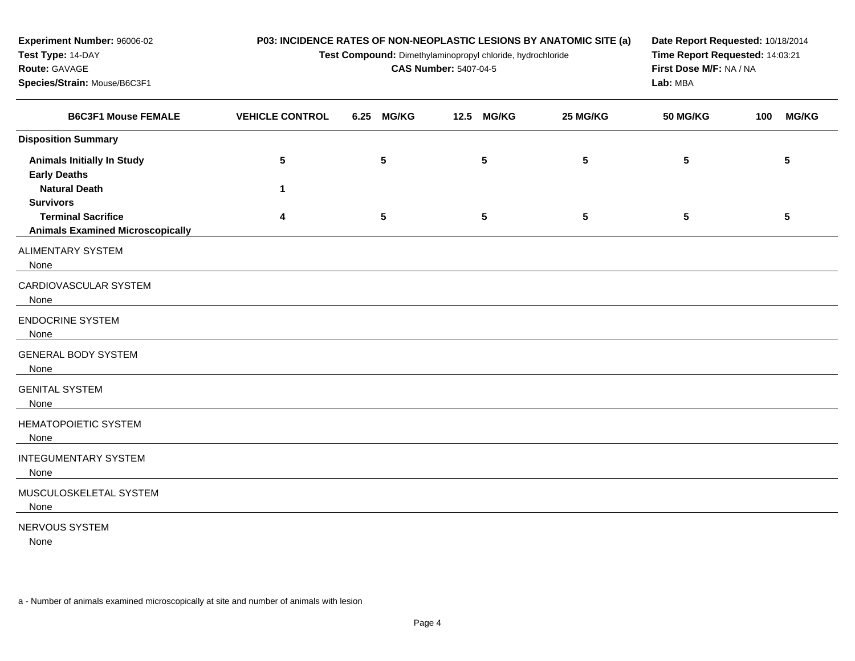| Experiment Number: 96006-02                                          | P03: INCIDENCE RATES OF NON-NEOPLASTIC LESIONS BY ANATOMIC SITE (a) |                 |                                                            |                                 |          | Date Report Requested: 10/18/2014   |     |                 |  |
|----------------------------------------------------------------------|---------------------------------------------------------------------|-----------------|------------------------------------------------------------|---------------------------------|----------|-------------------------------------|-----|-----------------|--|
| Test Type: 14-DAY                                                    |                                                                     |                 | Test Compound: Dimethylaminopropyl chloride, hydrochloride | Time Report Requested: 14:03:21 |          |                                     |     |                 |  |
| Route: GAVAGE                                                        |                                                                     |                 | <b>CAS Number: 5407-04-5</b>                               |                                 |          | First Dose M/F: NA / NA<br>Lab: MBA |     |                 |  |
| Species/Strain: Mouse/B6C3F1                                         |                                                                     |                 |                                                            |                                 |          |                                     |     |                 |  |
| <b>B6C3F1 Mouse FEMALE</b>                                           | <b>VEHICLE CONTROL</b>                                              | 6.25 MG/KG      | 12.5                                                       | <b>MG/KG</b>                    | 25 MG/KG | <b>50 MG/KG</b>                     | 100 | <b>MG/KG</b>    |  |
| <b>Disposition Summary</b>                                           |                                                                     |                 |                                                            |                                 |          |                                     |     |                 |  |
| <b>Animals Initially In Study</b><br><b>Early Deaths</b>             | 5                                                                   | $5\phantom{.0}$ |                                                            | 5                               | 5        | 5                                   |     | $5\phantom{.0}$ |  |
| <b>Natural Death</b><br><b>Survivors</b>                             | 1                                                                   |                 |                                                            |                                 |          |                                     |     |                 |  |
| <b>Terminal Sacrifice</b><br><b>Animals Examined Microscopically</b> | 4                                                                   | 5               |                                                            | 5                               | 5        | 5                                   |     | 5               |  |
| <b>ALIMENTARY SYSTEM</b><br>None                                     |                                                                     |                 |                                                            |                                 |          |                                     |     |                 |  |
| CARDIOVASCULAR SYSTEM<br>None                                        |                                                                     |                 |                                                            |                                 |          |                                     |     |                 |  |
| <b>ENDOCRINE SYSTEM</b><br>None                                      |                                                                     |                 |                                                            |                                 |          |                                     |     |                 |  |
| <b>GENERAL BODY SYSTEM</b><br>None                                   |                                                                     |                 |                                                            |                                 |          |                                     |     |                 |  |
| <b>GENITAL SYSTEM</b><br>None                                        |                                                                     |                 |                                                            |                                 |          |                                     |     |                 |  |
| <b>HEMATOPOIETIC SYSTEM</b><br>None                                  |                                                                     |                 |                                                            |                                 |          |                                     |     |                 |  |
| <b>INTEGUMENTARY SYSTEM</b><br>None                                  |                                                                     |                 |                                                            |                                 |          |                                     |     |                 |  |
| MUSCULOSKELETAL SYSTEM<br>None                                       |                                                                     |                 |                                                            |                                 |          |                                     |     |                 |  |
| NERVOUS SYSTEM                                                       |                                                                     |                 |                                                            |                                 |          |                                     |     |                 |  |

None

a - Number of animals examined microscopically at site and number of animals with lesion